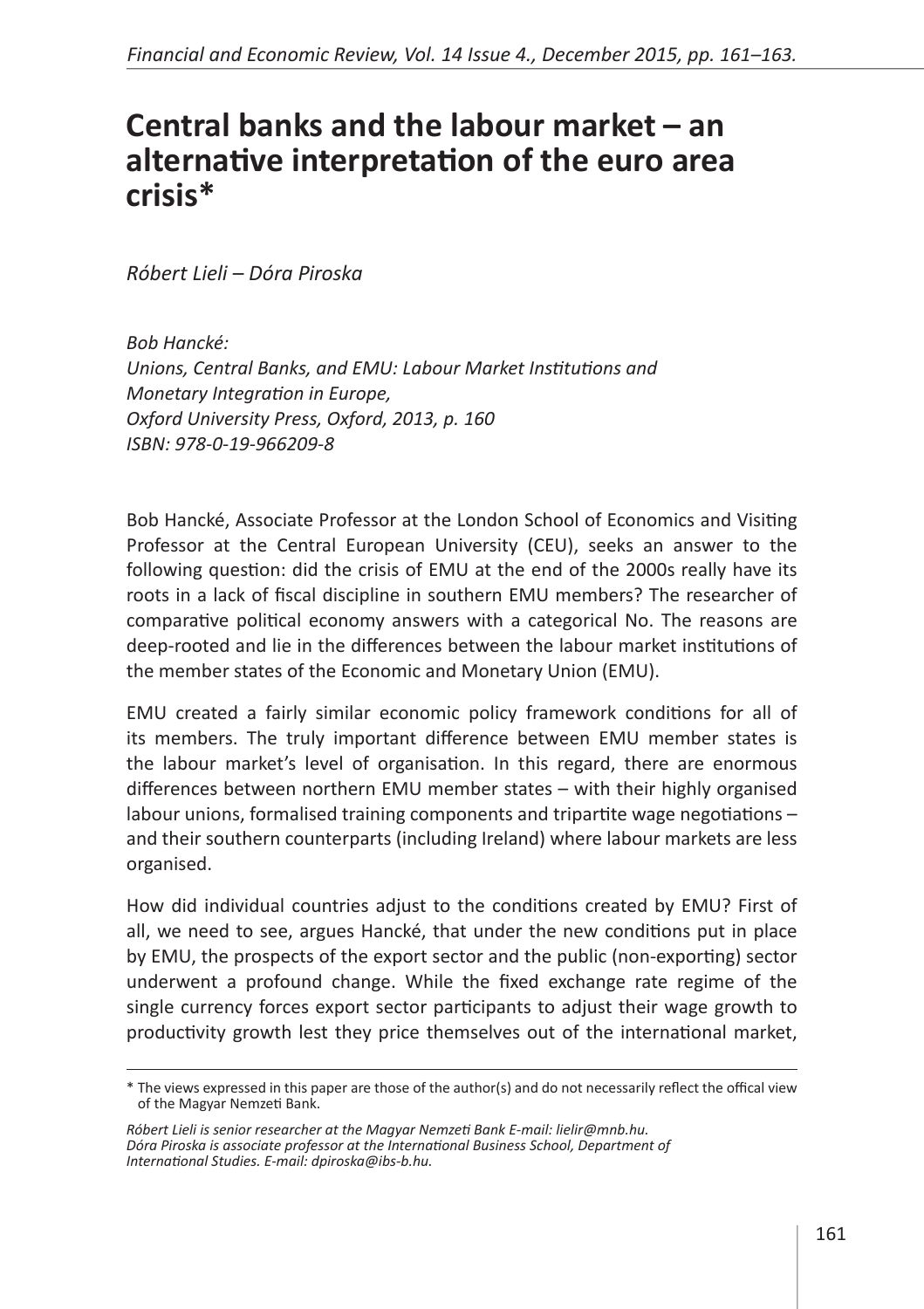## **Central banks and the labour market – an alternative interpretation of the euro area crisis\***

*Róbert Lieli – Dóra Piroska* 

*Bob Hancké: Unions, Central Banks, and EMU: Labour Market Institutions and Monetary Integration in Europe, Oxford University Press, Oxford, 2013, p. 160 ISBN: 978-0-19-966209-8*

Bob Hancké, Associate Professor at the London School of Economics and Visiting Professor at the Central European University (CEU), seeks an answer to the following question: did the crisis of EMU at the end of the 2000s really have its roots in a lack of fiscal discipline in southern EMU members? The researcher of comparative political economy answers with a categorical No. The reasons are deep-rooted and lie in the differences between the labour market institutions of the member states of the Economic and Monetary Union (EMU).

EMU created a fairly similar economic policy framework conditions for all of its members. The truly important difference between EMU member states is the labour market's level of organisation. In this regard, there are enormous differences between northern EMU member states – with their highly organised labour unions, formalised training components and tripartite wage negotiations – and their southern counterparts (including Ireland) where labour markets are less organised.

How did individual countries adjust to the conditions created by EMU? First of all, we need to see, argues Hancké, that under the new conditions put in place by EMU, the prospects of the export sector and the public (non-exporting) sector underwent a profound change. While the fixed exchange rate regime of the single currency forces export sector participants to adjust their wage growth to productivity growth lest they price themselves out of the international market,

<sup>\*</sup> The views expressed in this paper are those of the author(s) and do not necessarily reflect the offical view of the Magyar Nemzeti Bank.

*Róbert Lieli is senior researcher at the Magyar Nemzeti Bank E-mail: lielir@mnb.hu. Dóra Piroska is associate professor at the International Business School, Department of International Studies. E-mail: dpiroska@ibs-b.hu.*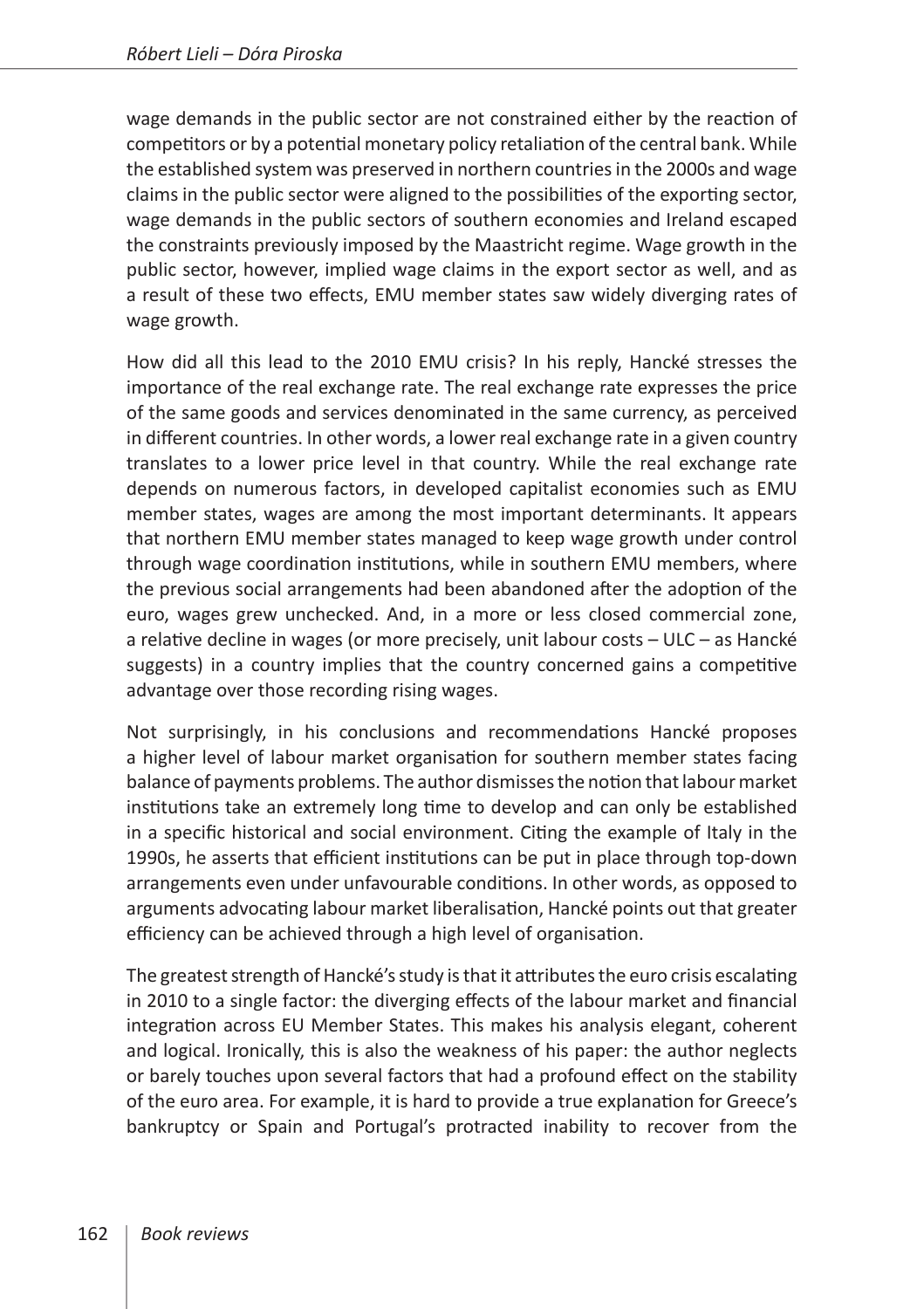wage demands in the public sector are not constrained either by the reaction of competitors or by a potential monetary policy retaliation of the central bank. While the established system was preserved in northern countries in the 2000s and wage claims in the public sector were aligned to the possibilities of the exporting sector, wage demands in the public sectors of southern economies and Ireland escaped the constraints previously imposed by the Maastricht regime. Wage growth in the public sector, however, implied wage claims in the export sector as well, and as a result of these two effects, EMU member states saw widely diverging rates of wage growth.

How did all this lead to the 2010 EMU crisis? In his reply, Hancké stresses the importance of the real exchange rate. The real exchange rate expresses the price of the same goods and services denominated in the same currency, as perceived in different countries. In other words, a lower real exchange rate in a given country translates to a lower price level in that country. While the real exchange rate depends on numerous factors, in developed capitalist economies such as EMU member states, wages are among the most important determinants. It appears that northern EMU member states managed to keep wage growth under control through wage coordination institutions, while in southern EMU members, where the previous social arrangements had been abandoned after the adoption of the euro, wages grew unchecked. And, in a more or less closed commercial zone, a relative decline in wages (or more precisely, unit labour costs – ULC – as Hancké suggests) in a country implies that the country concerned gains a competitive advantage over those recording rising wages.

Not surprisingly, in his conclusions and recommendations Hancké proposes a higher level of labour market organisation for southern member states facing balance of payments problems. The author dismisses the notion that labour market institutions take an extremely long time to develop and can only be established in a specific historical and social environment. Citing the example of Italy in the 1990s, he asserts that efficient institutions can be put in place through top-down arrangements even under unfavourable conditions. In other words, as opposed to arguments advocating labour market liberalisation, Hancké points out that greater efficiency can be achieved through a high level of organisation.

The greatest strength of Hancké's study is that it attributes the euro crisis escalating in 2010 to a single factor: the diverging effects of the labour market and financial integration across EU Member States. This makes his analysis elegant, coherent and logical. Ironically, this is also the weakness of his paper: the author neglects or barely touches upon several factors that had a profound effect on the stability of the euro area. For example, it is hard to provide a true explanation for Greece's bankruptcy or Spain and Portugal's protracted inability to recover from the